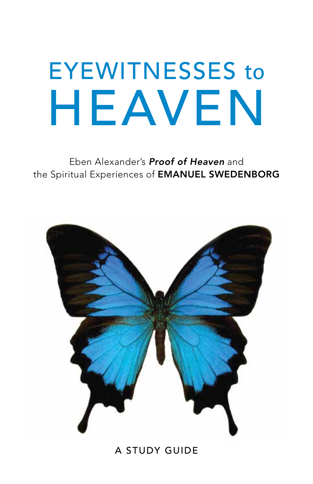# Eyewitnesses to HEAVEN

Eben Alexander's *Proof of Heaven* and the Spiritual Experiences of **EMANUEL SWEDENBORG** 



# A Study Guide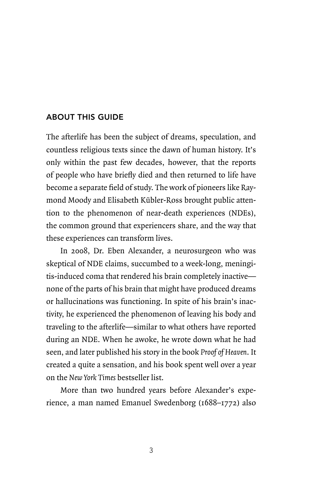## About This Guide

The afterlife has been the subject of dreams, speculation, and countless religious texts since the dawn of human history. It's only within the past few decades, however, that the reports of people who have briefly died and then returned to life have become a separate field of study. The work of pioneers like Raymond Moody and Elisabeth Kübler-Ross brought public attention to the phenomenon of near-death experiences (NDEs), the common ground that experiencers share, and the way that these experiences can transform lives.

In 2008, Dr. Eben Alexander, a neurosurgeon who was skeptical of NDE claims, succumbed to a week-long, meningitis-induced coma that rendered his brain completely inactive none of the parts of his brain that might have produced dreams or hallucinations was functioning. In spite of his brain's inactivity, he experienced the phenomenon of leaving his body and traveling to the afterlife—similar to what others have reported during an NDE. When he awoke, he wrote down what he had seen, and later published his story in the book *Proof of Heaven*. It created a quite a sensation, and his book spent well over a year on the *New York Times* bestseller list.

More than two hundred years before Alexander's experience, a man named Emanuel Swedenborg (1688–1772) also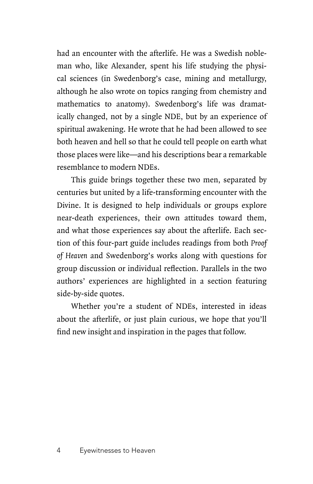had an encounter with the afterlife. He was a Swedish nobleman who, like Alexander, spent his life studying the physical sciences (in Swedenborg's case, mining and metallurgy, although he also wrote on topics ranging from chemistry and mathematics to anatomy). Swedenborg's life was dramatically changed, not by a single NDE, but by an experience of spiritual awakening. He wrote that he had been allowed to see both heaven and hell so that he could tell people on earth what those places were like—and his descriptions bear a remarkable resemblance to modern NDEs.

This guide brings together these two men, separated by centuries but united by a life-transforming encounter with the Divine. It is designed to help individuals or groups explore near-death experiences, their own attitudes toward them, and what those experiences say about the afterlife. Each section of this four-part guide includes readings from both *Proof of Heaven* and Swedenborg's works along with questions for group discussion or individual reflection. Parallels in the two authors' experiences are highlighted in a section featuring side-by-side quotes.

Whether you're a student of NDEs, interested in ideas about the afterlife, or just plain curious, we hope that you'll find new insight and inspiration in the pages that follow.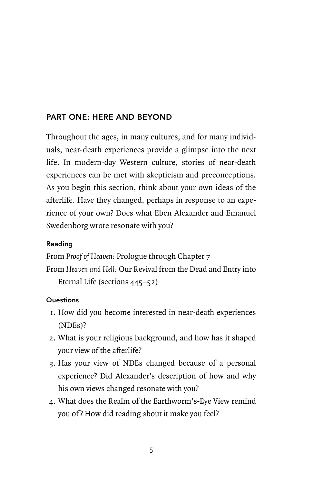# Part One: Here and Beyond

Throughout the ages, in many cultures, and for many individuals, near-death experiences provide a glimpse into the next life. In modern-day Western culture, stories of near-death experiences can be met with skepticism and preconceptions. As you begin this section, think about your own ideas of the afterlife. Have they changed, perhaps in response to an experience of your own? Does what Eben Alexander and Emanuel Swedenborg wrote resonate with you?

## Reading

From *Proof of Heaven:* Prologue through Chapter 7 From *Heaven and Hell:* Our Revival from the Dead and Entry into Eternal Life (sections 445–52)

- 1. How did you become interested in near-death experiences (NDEs)?
- 2. What is your religious background, and how has it shaped your view of the afterlife?
- 3. Has your view of NDEs changed because of a personal experience? Did Alexander's description of how and why his own views changed resonate with you?
- 4. What does the Realm of the Earthworm's-Eye View remind you of ? How did reading about it make you feel?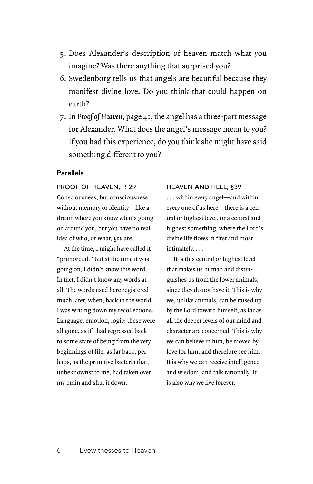- 5. Does Alexander's description of heaven match what you imagine? Was there anything that surprised you?
- 6. Swedenborg tells us that angels are beautiful because they manifest divine love. Do you think that could happen on earth?
- 7. In *Proof of Heaven,* page 41, the angel has a three-part message for Alexander. What does the angel's message mean to you? If you had this experience, do you think she might have said something different to you?

#### PROOF OF HEAVEN, P. 29

Consciousness, but consciousness without memory or identity—like a dream where you know what's going on around you, but you have no real idea of who, or what, *you* are. . . .

At the time, I might have called it "primordial." But at the time it was going on, I didn't know this word. In fact, I didn't know any words at all. The words used here registered much later, when, back in the world, I was writing down my recollections. Language, emotion, logic: these were all gone, as if I had regressed back to some state of being from the very beginnings of life, as far back, perhaps, as the primitive bacteria that, unbeknownst to me, had taken over my brain and shut it down.

#### Heaven and Hell, §39

. . . within every angel—and within every one of us here—there is a central or highest level, or a central and highest something, where the Lord's divine life flows in first and most intimately. . . .

It is this central or highest level that makes us human and distinguishes us from the lower animals, since they do not have it. This is why we, unlike animals, can be raised up by the Lord toward himself, as far as all the deeper levels of our mind and character are concerned. This is why we can believe in him, be moved by love for him, and therefore see him. It is why we can receive intelligence and wisdom, and talk rationally. It is also why we live forever.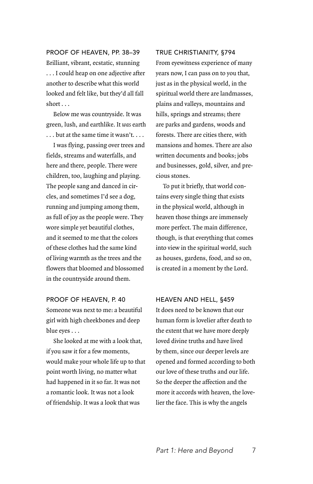PROOF OF HEAVEN, PP. 38-39 Brilliant, vibrant, ecstatic, stunning . . . I could heap on one adjective after another to describe what this world looked and felt like, but they'd all fall short . . .

Below me was countryside. It was green, lush, and earthlike. It *was* earth . . . but at the same time it wasn't. . . .

I was flying, passing over trees and fields, streams and waterfalls, and here and there, people. There were children, too, laughing and playing. The people sang and danced in circles, and sometimes I'd see a dog, running and jumping among them, as full of joy as the people were. They wore simple yet beautiful clothes, and it seemed to me that the colors of these clothes had the same kind of living warmth as the trees and the flowers that bloomed and blossomed in the countryside around them.

#### PROOF OF HEAVEN, P. 40

Someone was next to me: a beautiful girl with high cheekbones and deep blue eyes . . .

She looked at me with a look that, if you saw it for a few moments, would make your whole life up to that point worth living, no matter what had happened in it so far. It was not a romantic look. It was not a look of friendship. It was a look that was

#### True Christianity, §794

From eyewitness experience of many years now, I can pass on to you that, just as in the physical world, in the spiritual world there are landmasses, plains and valleys, mountains and hills, springs and streams; there are parks and gardens, woods and forests. There are cities there, with mansions and homes. There are also written documents and books; jobs and businesses, gold, silver, and precious stones.

To put it briefly, that world contains every single thing that exists in the physical world, although in heaven those things are immensely more perfect. The main difference, though, is that everything that comes into view in the spiritual world, such as houses, gardens, food, and so on, is created in a moment by the Lord.

### Heaven and Hell, §459

It does need to be known that our human form is lovelier after death to the extent that we have more deeply loved divine truths and have lived by them, since our deeper levels are opened and formed according to both our love of these truths and our life. So the deeper the affection and the more it accords with heaven, the lovelier the face. This is why the angels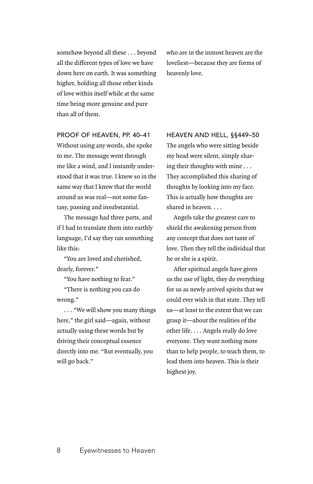somehow beyond all these . . . beyond all the different types of love we have down here on earth. It was something higher, holding all those other kinds of love within itself while at the same time being more genuine and pure than all of them.

who are in the inmost heaven are the loveliest—because they are forms of heavenly love.

Proof of Heaven, pp. 40–41 Without using any words, she spoke to me. The message went through me like a wind, and I instantly understood that it was true. I knew so in the same way that I knew that the world around us was real—not some fantasy, passing and insubstantial.

The message had three parts, and if I had to translate them into earthly language, I'd say they ran something like this:

"You are loved and cherished, dearly, forever."

"You have nothing to fear."

"There is nothing you can do wrong."

. . . "We will show you many things here," the girl said—again, without actually using these words but by driving their conceptual essence directly into me. "But eventually, you will go back."

Heaven and Hell, §§449–50 The angels who were sitting beside my head were silent, simply sharing their thoughts with mine . . . They accomplished this sharing of thoughts by looking into my face. This is actually how thoughts are shared in heaven. . . .

Angels take the greatest care to shield the awakening person from any concept that does not taste of love. Then they tell the individual that he or she is a spirit.

After spiritual angels have given us the use of light, they do everything for us as newly arrived spirits that we could ever wish in that state. They tell us—at least to the extent that we can grasp it—about the realities of the other life. . . . Angels really do love everyone. They want nothing more than to help people, to teach them, to lead them into heaven. This is their highest joy.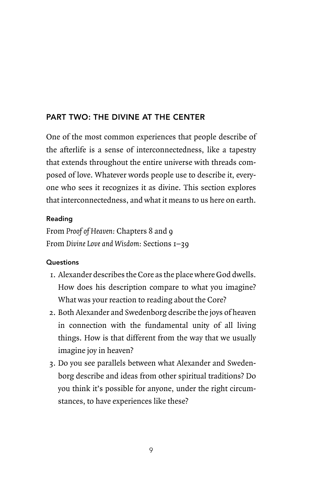# Part Two: The Divine at the Center

One of the most common experiences that people describe of the afterlife is a sense of interconnectedness, like a tapestry that extends throughout the entire universe with threads composed of love. Whatever words people use to describe it, everyone who sees it recognizes it as divine. This section explores that interconnectedness, and what it means to us here on earth.

## Reading

From *Proof of Heaven:* Chapters 8 and 9 From *Divine Love and Wisdom:* Sections 1–39

- 1. Alexander describes the Core as the place where God dwells. How does his description compare to what you imagine? What was your reaction to reading about the Core?
- 2. Both Alexander and Swedenborg describe the joys of heaven in connection with the fundamental unity of all living things. How is that different from the way that we usually imagine joy in heaven?
- 3. Do you see parallels between what Alexander and Sweden borg describe and ideas from other spiritual traditions? Do you think it's possible for anyone, under the right circum stances, to have experiences like these?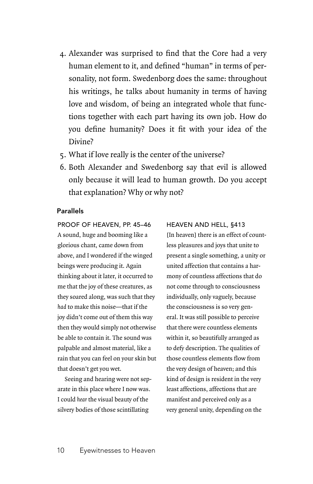- 4. Alexander was surprised to find that the Core had a very human element to it, and defined "human" in terms of per sonality, not form. Swedenborg does the same: throughout his writings, he talks about humanity in terms of having love and wisdom, of being an integrated whole that func tions together with each part having its own job. How do you define humanity? Does it fit with your idea of the Divine?
- 5. What if love really is the center of the universe?
- 6. Both Alexander and Swedenborg say that evil is allowed only because it will lead to human growth. Do you accept that explanation? Why or why not?

Proof of Heaven, pp. 45–46 A sound, huge and booming like a glorious chant, came down from above, and I wondered if the winged beings were producing it. Again thinking about it later, it occurred to me that the joy of these creatures, as they soared along, was such that they *had* to make this noise—that if the joy didn't come out of them this way then they would simply not otherwise be able to contain it. The sound was palpable and almost material, like a rain that you can feel on your skin but that doesn't get you wet.

Seeing and hearing were not separate in this place where I now was. I could *hear* the visual beauty of the silvery bodies of those scintillating

Heaven and Hell, §413 [In heaven] there is an effect of countless pleasures and joys that unite to present a single something, a unity or united affection that contains a harmony of countless affections that do not come through to consciousness individually, only vaguely, because the consciousness is so very general. It was still possible to perceive that there were countless elements within it, so beautifully arranged as to defy description. The qualities of those countless elements flow from the very design of heaven; and this kind of design is resident in the very least affections, affections that are manifest and perceived only as a very general unity, depending on the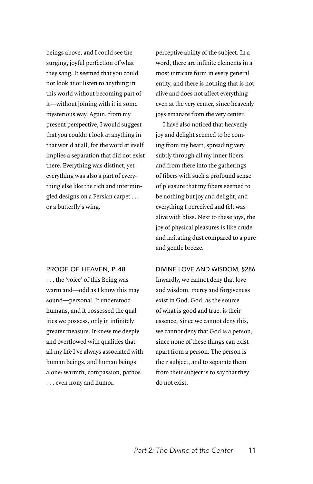beings above, and I could see the surging, joyful perfection of what they sang. It seemed that you could not look at or listen to anything in this world without becoming part of it—without joining with it in some mysterious way. Again, from my present perspective, I would suggest that you couldn't look *at* anything in that world at all, for the word *at* itself implies a separation that did not exist there. Everything was distinct, yet everything was also a part of everything else like the rich and intermingled designs on a Persian carpet . . . or a butterfly's wing.

#### PROOF OF HEAVEN, P. 48

. . . the 'voice' of this Being was warm and—odd as I know this may sound—personal. It understood humans, and it possessed the qualities we possess, only in infinitely greater measure. It knew me deeply and overflowed with qualities that all my life I've always associated with human beings, and human beings alone: warmth, compassion, pathos . . . even irony and humor.

perceptive ability of the subject. In a word, there are infinite elements in a most intricate form in every general entity, and there is nothing that is not alive and does not affect everything even at the very center, since heavenly joys emanate from the very center.

I have also noticed that heavenly joy and delight seemed to be coming from my heart, spreading very subtly through all my inner fibers and from there into the gatherings of fibers with such a profound sense of pleasure that my fibers seemed to be nothing but joy and delight, and everything I perceived and felt was alive with bliss. Next to these joys, the joy of physical pleasures is like crude and irritating dust compared to a pure and gentle breeze.

#### Divine Love and Wisdom, §286

Inwardly, we cannot deny that love and wisdom, mercy and forgiveness exist in God. God, as the source of what is good and true, is their essence. Since we cannot deny this, we cannot deny that God is a person, since none of these things can exist apart from a person. The person is their subject, and to separate them from their subject is to say that they do not exist.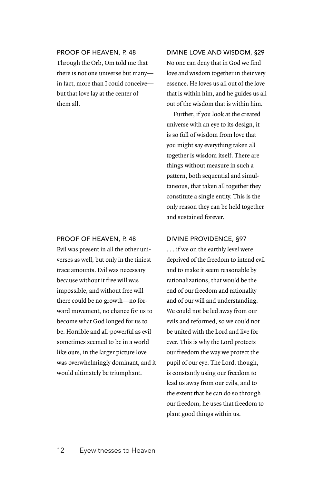#### PROOF OF HEAVEN, P. 48

Through the Orb, Om told me that there is not one universe but many in fact, more than I could conceive but that love lay at the center of them all.

#### PROOF OF HEAVEN, P. 48

Evil was present in all the other universes as well, but only in the tiniest trace amounts. Evil was necessary because without it free will was impossible, and without free will there could be no growth—no forward movement, no chance for us to become what God longed for us to be. Horrible and all-powerful as evil sometimes seemed to be in a world like ours, in the larger picture love was overwhelmingly dominant, and it would ultimately be triumphant.

## Divine Love and Wisdom, §29

No one can deny that in God we find love and wisdom together in their very essence. He loves us all out of the love that is within him, and he guides us all out of the wisdom that is within him.

Further, if you look at the created universe with an eye to its design, it is so full of wisdom from love that you might say everything taken all together is wisdom itself. There are things without measure in such a pattern, both sequential and simultaneous, that taken all together they constitute a single entity. This is the only reason they can be held together and sustained forever.

#### Divine Providence, §97

. . . if we on the earthly level were deprived of the freedom to intend evil and to make it seem reasonable by rationalizations, that would be the end of our freedom and rationality and of our will and understanding. We could not be led away from our evils and reformed, so we could not be united with the Lord and live forever. This is why the Lord protects our freedom the way we protect the pupil of our eye. The Lord, though, is constantly using our freedom to lead us away from our evils, and to the extent that he can do so through our freedom, he uses that freedom to plant good things within us.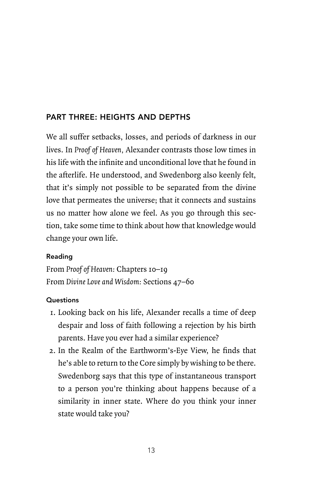# Part Three: Heights and Depths

We all suffer setbacks, losses, and periods of darkness in our lives. In *Proof of Heaven,* Alexander contrasts those low times in his life with the infinite and unconditional love that he found in the afterlife. He understood, and Swedenborg also keenly felt, that it's simply not possible to be separated from the divine love that permeates the universe; that it connects and sustains us no matter how alone we feel. As you go through this section, take some time to think about how that knowledge would change your own life.

# Reading

From *Proof of Heaven:* Chapters 10–19 From *Divine Love and Wisdom:* Sections 47–60

- 1. Looking back on his life, Alexander recalls a time of deep despair and loss of faith following a rejection by his birth parents. Have you ever had a similar experience?
- 2. In the Realm of the Earthworm's-Eye View, he finds that he's able to return to the Core simply by wishing to be there. Swedenborg says that this type of instantaneous transport to a person you're thinking about happens because of a similarity in inner state. Where do you think your inner state would take you?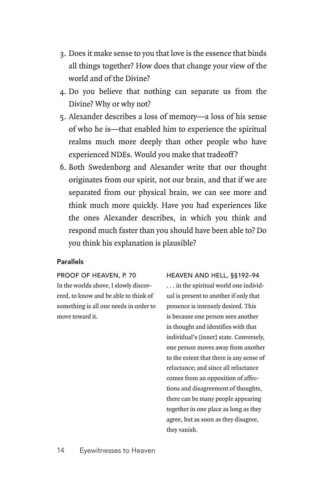- 3. Does it make sense to you that love is the essence that binds all things together? How does that change your view of the world and of the Divine?
- 4. Do you believe that nothing can separate us from the Divine? Why or why not?
- 5. Alexander describes a loss of memory—a loss of his sense of who he is—that enabled him to experience the spiritual realms much more deeply than other people who have experienced NDEs. Would you make that tradeoff ?
- 6. Both Swedenborg and Alexander write that our thought originates from our spirit, not our brain, and that if we are separated from our physical brain, we can see more and think much more quickly. Have you had experiences like the ones Alexander describes, in which you think and respond much faster than you should have been able to? Do you think his explanation is plausible?

PROOF OF HEAVEN, P. 70 In the worlds above, I slowly discovered, to know and be able to think of something is all one needs in order to move toward it.

Heaven and Hell, §§192–94 . . . in the spiritual world one individual is present to another if only that presence is intensely desired. This is because one person sees another in thought and identifies with that individual's [inner] state. Conversely, one person moves away from another to the extent that there is any sense of reluctance; and since all reluctance comes from an opposition of affections and disagreement of thoughts, there can be many people appearing together in one place as long as they agree, but as soon as they disagree, they vanish.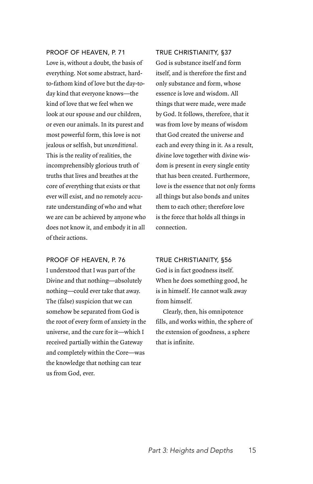#### PROOF OF HEAVEN, P. 71

Love is, without a doubt, the basis of everything. Not some abstract, hardto-fathom kind of love but the day-today kind that everyone knows—the kind of love that we feel when we look at our spouse and our children, or even our animals. In its purest and most powerful form, this love is not jealous or selfish, but *unconditional.* This is the reality of realities, the incomprehensibly glorious truth of truths that lives and breathes at the core of everything that exists or that ever will exist, and no remotely accurate understanding of who and what we are can be achieved by anyone who does not know it, and embody it in all of their actions.

#### PROOF OF HEAVEN, P. 76

I understood that I was part of the Divine and that nothing—absolutely nothing—could ever take that away. The (false) suspicion that we can somehow be separated from God is the root of every form of anxiety in the universe, and the cure for it—which I received partially within the Gateway and completely within the Core—was the knowledge that nothing can tear us from God, ever.

### True Christianity, §37

God is substance itself and form itself, and is therefore the first and only substance and form, whose essence is love and wisdom. All things that were made, were made by God. It follows, therefore, that it was from love by means of wisdom that God created the universe and each and every thing in it. As a result, divine love together with divine wisdom is present in every single entity that has been created. Furthermore, love is the essence that not only forms all things but also bonds and unites them to each other; therefore love is the force that holds all things in connection.

#### True Christianity, §56

God is in fact goodness itself. When he does something good, he is in himself. He cannot walk away from himself.

Clearly, then, his omnipotence fills, and works within, the sphere of the extension of goodness, a sphere that is infinite.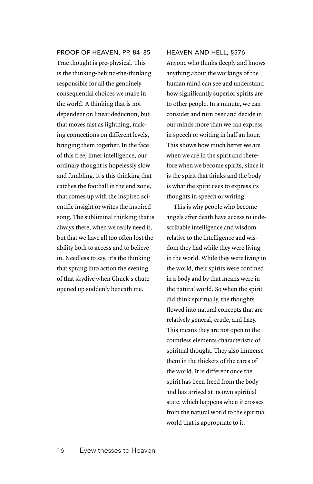PROOF OF HEAVEN, PP. 84-85 True thought is pre-physical. This is the thinking-behind-the-thinking responsible for all the genuinely consequential choices we make in the world. A thinking that is not dependent on linear deduction, but that moves fast as lightning, making connections on different levels, bringing them together. In the face of this free, inner intelligence, our ordinary thought is hopelessly slow and fumbling. It's this thinking that catches the football in the end zone, that comes up with the inspired scientific insight or writes the inspired song. The subliminal thinking that is always there, when we really need it, but that we have all too often lost the ability both to access and to believe in. Needless to say, it's the thinking that sprang into action the evening of that skydive when Chuck's chute opened up suddenly beneath me.

#### Heaven and Hell, §576

Anyone who thinks deeply and knows anything about the workings of the human mind can see and understand how significantly superior spirits are to other people. In a minute, we can consider and turn over and decide in our minds more than we can express in speech or writing in half an hour. This shows how much better we are when we are in the spirit and therefore when we become spirits, since it is the spirit that thinks and the body is what the spirit uses to express its thoughts in speech or writing.

This is why people who become angels after death have access to indescribable intelligence and wisdom relative to the intelligence and wisdom they had while they were living in the world. While they were living in the world, their spirits were confined in a body and by that means were in the natural world. So when the spirit did think spiritually, the thoughts flowed into natural concepts that are relatively general, crude, and hazy. This means they are not open to the countless elements characteristic of spiritual thought. They also immerse them in the thickets of the cares of the world. It is different once the spirit has been freed from the body and has arrived at its own spiritual state, which happens when it crosses from the natural world to the spiritual world that is appropriate to it.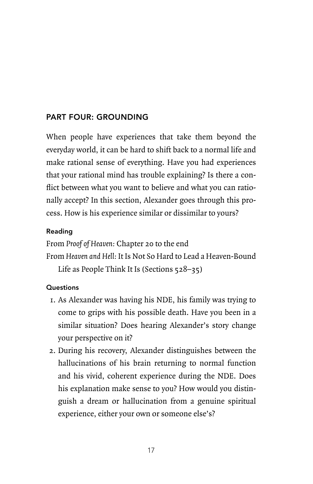# Part Four: Grounding

When people have experiences that take them beyond the everyday world, it can be hard to shift back to a normal life and make rational sense of everything. Have you had experiences that your rational mind has trouble explaining? Is there a conflict between what you want to believe and what you can rationally accept? In this section, Alexander goes through this process. How is his experience similar or dissimilar to yours?

## Reading

From *Proof of Heaven:* Chapter 20 to the end

From *Heaven and Hell:* It Is Not So Hard to Lead a Heaven-Bound Life as People Think It Is (Sections 528–35)

- 1. As Alexander was having his NDE, his family was trying to come to grips with his possible death. Have you been in a similar situation? Does hearing Alexander's story change your perspective on it?
- 2. During his recovery, Alexander distinguishes between the hallucinations of his brain returning to normal function and his vivid, coherent experience during the NDE. Does his explanation make sense to you? How would you distin guish a dream or hallucination from a genuine spiritual experience, either your own or someone else's?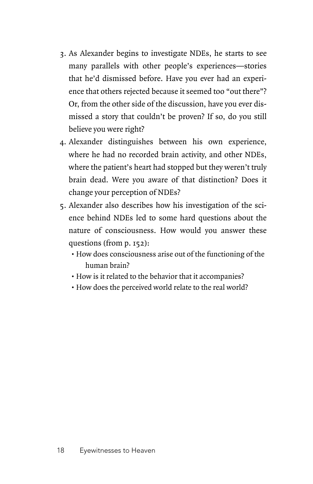- 3. As Alexander begins to investigate NDEs, he starts to see many parallels with other people's experiences—stories that he'd dismissed before. Have you ever had an experi ence that others rejected because it seemed too "out there"? Or, from the other side of the discussion, have you ever dis missed a story that couldn't be proven? If so, do you still believe you were right?
- 4. Alexander distinguishes between his own experience, where he had no recorded brain activity, and other NDEs, where the patient's heart had stopped but they weren't truly brain dead. Were you aware of that distinction? Does it change your perception of NDEs?
- 5. Alexander also describes how his investigation of the sci ence behind NDEs led to some hard questions about the nature of consciousness. How would you answer these questions (from p. 152):
	- How does consciousness arise out of the functioning of the human brain?
	- How is it related to the behavior that it accompanies?
	- How does the perceived world relate to the real world?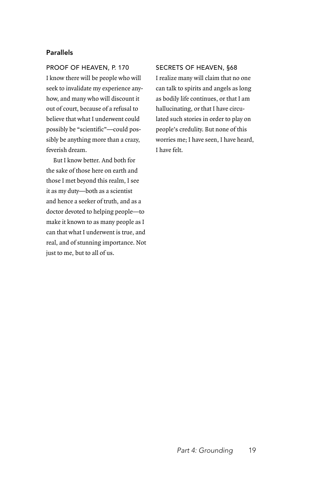## PROOF OF HEAVEN, P. 170

I know there will be people who will seek to invalidate my experience anyhow, and many who will discount it out of court, because of a refusal to believe that what I underwent could possibly be "scientific"—could possibly be anything more than a crazy, feverish dream.

But I know better. And both for the sake of those here on earth and those I met beyond this realm, I see it as my duty—both as a scientist and hence a seeker of truth, and as a doctor devoted to helping people—to make it known to as many people as I can that what I underwent is true, and real, and of stunning importance. Not just to me, but to all of us.

## Secrets of Heaven, §68

I realize many will claim that no one can talk to spirits and angels as long as bodily life continues, or that I am hallucinating, or that I have circulated such stories in order to play on people's credulity. But none of this worries me; I have seen, I have heard, I have felt.